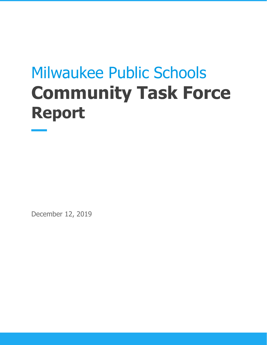# Milwaukee Public Schools **Community Task Force Report**

December 12, 2019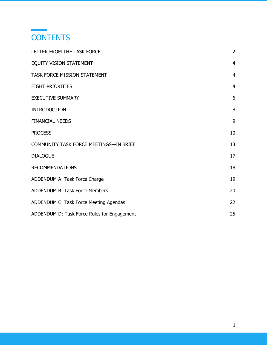

<span id="page-1-0"></span>

| LETTER FROM THE TASK FORCE                  | $\overline{2}$ |
|---------------------------------------------|----------------|
| <b>EQUITY VISION STATEMENT</b>              | $\overline{4}$ |
| TASK FORCE MISSION STATEMENT                | $\overline{4}$ |
| <b>EIGHT PRIORITIES</b>                     | $\overline{4}$ |
| <b>EXECUTIVE SUMMARY</b>                    | 6              |
| <b>INTRODUCTION</b>                         | 8              |
| <b>FINANCIAL NEEDS</b>                      | 9              |
| <b>PROCESS</b>                              | 10             |
| COMMUNITY TASK FORCE MEETINGS-IN BRIEF      | 13             |
| <b>DIALOGUE</b>                             | 17             |
| <b>RECOMMENDATIONS</b>                      | 18             |
| ADDENDUM A: Task Force Charge               | 19             |
| ADDENDUM B: Task Force Members              | 20             |
| ADDENDUM C: Task Force Meeting Agendas      | 22             |
| ADDENDUM D: Task Force Rules for Engagement | 25             |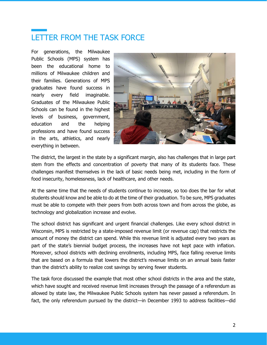## LETTER FROM THE TASK FORCE

For generations, the Milwaukee Public Schools (MPS) system has been the educational home to millions of Milwaukee children and their families. Generations of MPS graduates have found success in nearly every field imaginable. Graduates of the Milwaukee Public Schools can be found in the highest levels of business, government, education and the helping professions and have found success in the arts, athletics, and nearly everything in between.



The district, the largest in the state by a significant margin, also has challenges that in large part stem from the effects and concentration of poverty that many of its students face. These challenges manifest themselves in the lack of basic needs being met, including in the form of food insecurity, homelessness, lack of healthcare, and other needs.

At the same time that the needs of students continue to increase, so too does the bar for what students should know and be able to do at the time of their graduation. To be sure, MPS graduates must be able to compete with their peers from both across town and from across the globe, as technology and globalization increase and evolve.

The school district has significant and urgent financial challenges. Like every school district in Wisconsin, MPS is restricted by a state-imposed revenue limit (or revenue cap) that restricts the amount of money the district can spend. While this revenue limit is adjusted every two years as part of the state's biennial budget process, the increases have not kept pace with inflation. Moreover, school districts with declining enrollments, including MPS, face falling revenue limits that are based on a formula that lowers the district's revenue limits on an annual basis faster than the district's ability to realize cost savings by serving fewer students.

The task force discussed the example that most other school districts in the area and the state, which have sought and received revenue limit increases through the passage of a referendum as allowed by state law, the Milwaukee Public Schools system has never passed a referendum. In fact, the only referendum pursued by the district—in December 1993 to address facilities—did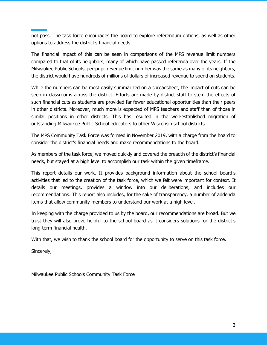not pass. The task force encourages the board to explore referendum options, as well as other options to address the district's financial needs.

The financial impact of this can be seen in comparisons of the MPS revenue limit numbers compared to that of its neighbors, many of which have passed referenda over the years. If the Milwaukee Public Schools' per-pupil revenue limit number was the same as many of its neighbors, the district would have hundreds of millions of dollars of increased revenue to spend on students.

While the numbers can be most easily summarized on a spreadsheet, the impact of cuts can be seen in classrooms across the district. Efforts are made by district staff to stem the effects of such financial cuts as students are provided far fewer educational opportunities than their peers in other districts. Moreover, much more is expected of MPS teachers and staff than of those in similar positions in other districts. This has resulted in the well-established migration of outstanding Milwaukee Public School educators to other Wisconsin school districts.

The MPS Community Task Force was formed in November 2019, with a charge from the board to consider the district's financial needs and make recommendations to the board.

As members of the task force, we moved quickly and covered the breadth of the district's financial needs, but stayed at a high level to accomplish our task within the given timeframe.

This report details our work. It provides background information about the school board's activities that led to the creation of the task force, which we felt were important for context. It details our meetings, provides a window into our deliberations, and includes our recommendations. This report also includes, for the sake of transparency, a number of addenda items that allow community members to understand our work at a high level.

In keeping with the charge provided to us by the board, our recommendations are broad. But we trust they will also prove helpful to the school board as it considers solutions for the district's long-term financial health.

With that, we wish to thank the school board for the opportunity to serve on this task force.

Sincerely,

Milwaukee Public Schools Community Task Force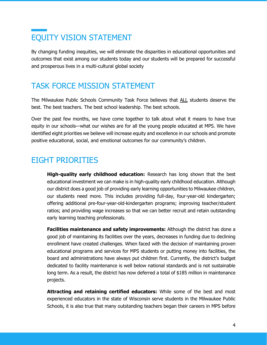# <span id="page-4-0"></span>EQUITY VISION STATEMENT

By changing funding inequities, we will eliminate the disparities in educational opportunities and outcomes that exist among our students today and our students will be prepared for successful and prosperous lives in a multi-cultural global society

### <span id="page-4-1"></span>TASK FORCE MISSION STATEMENT

The Milwaukee Public Schools Community Task Force believes that ALL students deserve the best. The best teachers. The best school leadership. The best schools.

Over the past few months, we have come together to talk about what it means to have true equity in our schools—what our wishes are for all the young people educated at MPS. We have identified eight priorities we believe will increase equity and excellence in our schools and promote positive educational, social, and emotional outcomes for our community's children.

### <span id="page-4-2"></span>EIGHT PRIORITIES

**High-quality early childhood education:** Research has long shown that the best educational investment we can make is in high-quality early childhood education. Although our district does a good job of providing early learning opportunities to Milwaukee children, our students need more. This includes providing full-day, four-year-old kindergarten; offering additional pre-four-year-old-kindergarten programs; improving teacher/student ratios; and providing wage increases so that we can better recruit and retain outstanding early learning teaching professionals.

**Facilities maintenance and safety improvements:** Although the district has done a good job of maintaining its facilities over the years, decreases in funding due to declining enrollment have created challenges. When faced with the decision of maintaining proven educational programs and services for MPS students or putting money into facilities, the board and administrations have always put children first. Currently, the district's budget dedicated to facility maintenance is well below national standards and is not sustainable long term. As a result, the district has now deferred a total of \$185 million in maintenance projects.

**Attracting and retaining certified educators:** While some of the best and most experienced educators in the state of Wisconsin serve students in the Milwaukee Public Schools, it is also true that many outstanding teachers began their careers in MPS before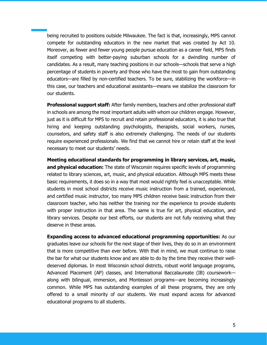being recruited to positions outside Milwaukee. The fact is that, increasingly, MPS cannot compete for outstanding educators in the new market that was created by Act 10. Moreover, as fewer and fewer young people pursue education as a career field, MPS finds itself competing with better-paying suburban schools for a dwindling number of candidates. As a result, many teaching positions in our schools—schools that serve a high percentage of students in poverty and those who have the most to gain from outstanding educators—are filled by non-certified teachers. To be sure, stabilizing the workforce—in this case, our teachers and educational assistants—means we stabilize the classroom for our students.

**Professional support staff:** After family members, teachers and other professional staff in schools are among the most important adults with whom our children engage. However, just as it is difficult for MPS to recruit and retain professional educators, it is also true that hiring and keeping outstanding psychologists, therapists, social workers, nurses, counselors, and safety staff is also extremely challenging. The needs of our students require experienced professionals. We find that we cannot hire or retain staff at the level necessary to meet our students' needs.

**Meeting educational standards for programming in library services, art, music, and physical education:** The state of Wisconsin requires specific levels of programming related to library sciences, art, music, and physical education. Although MPS meets these basic requirements, it does so in a way that most would rightly feel is unacceptable. While students in most school districts receive music instruction from a trained, experienced, and certified music instructor, too many MPS children receive basic instruction from their classroom teacher, who has neither the training nor the experience to provide students with proper instruction in that area. The same is true for art, physical education, and library services. Despite our best efforts, our students are not fully receiving what they deserve in these areas.

**Expanding access to advanced educational programming opportunities:** As our graduates leave our schools for the next stage of their lives, they do so in an environment that is more competitive than ever before. With that in mind, we must continue to raise the bar for what our students know and are able to do by the time they receive their welldeserved diplomas. In most Wisconsin school districts, robust world language programs, Advanced Placement (AP) classes, and International Baccalaureate (IB) coursework along with bilingual, immersion, and Montessori programs—are becoming increasingly common. While MPS has outstanding examples of all these programs, they are only offered to a small minority of our students. We must expand access for advanced educational programs to all students.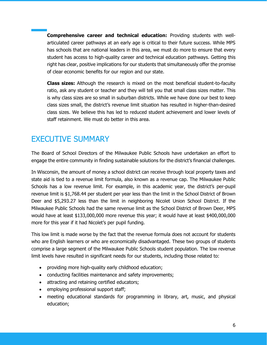**Comprehensive career and technical education:** Providing students with wellarticulated career pathways at an early age is critical to their future success. While MPS has schools that are national leaders in this area, we must do more to ensure that every student has access to high-quality career and technical education pathways. Getting this right has clear, positive implications for our students that simultaneously offer the promise of clear economic benefits for our region and our state.

**Class sizes:** Although the research is mixed on the most beneficial student-to-faculty ratio, ask any student or teacher and they will tell you that small class sizes matter. This is why class sizes are so small in suburban districts. While we have done our best to keep class sizes small, the district's revenue limit situation has resulted in higher-than-desired class sizes. We believe this has led to reduced student achievement and lower levels of staff retainment. We must do better in this area.

### <span id="page-6-0"></span>EXECUTIVE SUMMARY

The Board of School Directors of the Milwaukee Public Schools have undertaken an effort to engage the entire community in finding sustainable solutions for the district's financial challenges.

In Wisconsin, the amount of money a school district can receive through local property taxes and state aid is tied to a revenue limit formula, also known as a revenue cap. The Milwaukee Public Schools has a low revenue limit. For example, in this academic year, the district's per-pupil revenue limit is \$1,768.44 per student per year less than the limit in the School District of Brown Deer and \$5,293.27 less than the limit in neighboring Nicolet Union School District. If the Milwaukee Public Schools had the same revenue limit as the School District of Brown Deer, MPS would have at least \$133,000,000 more revenue this year; it would have at least \$400,000,000 more for this year if it had Nicolet's per pupil funding.

This low limit is made worse by the fact that the revenue formula does not account for students who are English learners or who are economically disadvantaged. These two groups of students comprise a large segment of the Milwaukee Public Schools student population. The low revenue limit levels have resulted in significant needs for our students, including those related to:

- providing more high-quality early childhood education;
- conducting facilities maintenance and safety improvements;
- attracting and retaining certified educators;
- employing professional support staff;
- meeting educational standards for programming in library, art, music, and physical education;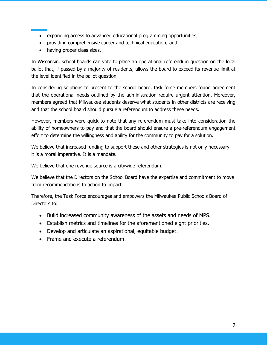- expanding access to advanced educational programming opportunities;
- providing comprehensive career and technical education; and
- having proper class sizes.

In Wisconsin, school boards can vote to place an operational referendum question on the local ballot that, if passed by a majority of residents, allows the board to exceed its revenue limit at the level identified in the ballot question.

In considering solutions to present to the school board, task force members found agreement that the operational needs outlined by the administration require urgent attention. Moreover, members agreed that Milwaukee students deserve what students in other districts are receiving and that the school board should pursue a referendum to address these needs.

However, members were quick to note that any referendum must take into consideration the ability of homeowners to pay and that the board should ensure a pre-referendum engagement effort to determine the willingness and ability for the community to pay for a solution.

We believe that increased funding to support these and other strategies is not only necessary it is a moral imperative. It is a mandate.

We believe that one revenue source is a citywide referendum.

We believe that the Directors on the School Board have the expertise and commitment to move from recommendations to action to impact.

Therefore, the Task Force encourages and empowers the Milwaukee Public Schools Board of Directors to:

- Build increased community awareness of the assets and needs of MPS.
- Establish metrics and timelines for the aforementioned eight priorities.
- Develop and articulate an aspirational, equitable budget.
- Frame and execute a referendum.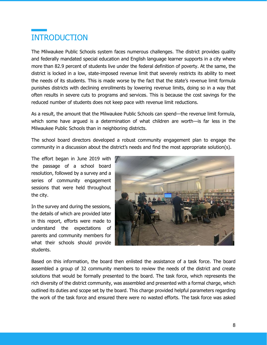# <span id="page-8-0"></span>INTRODUCTION

The Milwaukee Public Schools system faces numerous challenges. The district provides quality and federally mandated special education and English language learner supports in a city where more than 82.9 percent of students live under the federal definition of poverty. At the same, the district is locked in a low, state-imposed revenue limit that severely restricts its ability to meet the needs of its students. This is made worse by the fact that the state's revenue limit formula punishes districts with declining enrollments by lowering revenue limits, doing so in a way that often results in severe cuts to programs and services. This is because the cost savings for the reduced number of students does not keep pace with revenue limit reductions.

As a result, the amount that the Milwaukee Public Schools can spend—the revenue limit formula, which some have argued is a determination of what children are worth—is far less in the Milwaukee Public Schools than in neighboring districts.

The school board directors developed a robust community engagement plan to engage the community in a discussion about the district's needs and find the most appropriate solution(s).

The effort began in June 2019 with the passage of a school board resolution, followed by a survey and a series of community engagement sessions that were held throughout the city.

In the survey and during the sessions, the details of which are provided later in this report, efforts were made to understand the expectations of parents and community members for what their schools should provide students.



Based on this information, the board then enlisted the assistance of a task force. The board assembled a group of 32 community members to review the needs of the district and create solutions that would be formally presented to the board. The task force, which represents the rich diversity of the district community, was assembled and presented with a formal charge, which outlined its duties and scope set by the board. This charge provided helpful parameters regarding the work of the task force and ensured there were no wasted efforts. The task force was asked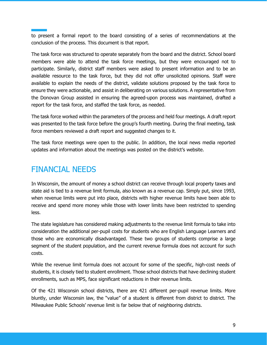to present a formal report to the board consisting of a series of recommendations at the conclusion of the process. This document is that report.

The task force was structured to operate separately from the board and the district. School board members were able to attend the task force meetings, but they were encouraged not to participate. Similarly, district staff members were asked to present information and to be an available resource to the task force, but they did not offer unsolicited opinions. Staff were available to explain the needs of the district, validate solutions proposed by the task force to ensure they were actionable, and assist in deliberating on various solutions. A representative from the Donovan Group assisted in ensuring the agreed-upon process was maintained, drafted a report for the task force, and staffed the task force, as needed.

The task force worked within the parameters of the process and held four meetings. A draft report was presented to the task force before the group's fourth meeting. During the final meeting, task force members reviewed a draft report and suggested changes to it.

The task force meetings were open to the public. In addition, the local news media reported updates and information about the meetings was posted on the district's website.

### <span id="page-9-0"></span>FINANCIAL NEEDS

In Wisconsin, the amount of money a school district can receive through local property taxes and state aid is tied to a revenue limit formula, also known as a revenue cap. Simply put, since 1993, when revenue limits were put into place, districts with higher revenue limits have been able to receive and spend more money while those with lower limits have been restricted to spending less.

The state legislature has considered making adjustments to the revenue limit formula to take into consideration the additional per-pupil costs for students who are English Language Learners and those who are economically disadvantaged. These two groups of students comprise a large segment of the student population, and the current revenue formula does not account for such costs.

While the revenue limit formula does not account for some of the specific, high-cost needs of students, it is closely tied to student enrollment. Those school districts that have declining student enrollments, such as MPS, face significant reductions in their revenue limits.

Of the 421 Wisconsin school districts, there are 421 different per-pupil revenue limits. More bluntly, under Wisconsin law, the "value" of a student is different from district to district. The Milwaukee Public Schools' revenue limit is far below that of neighboring districts.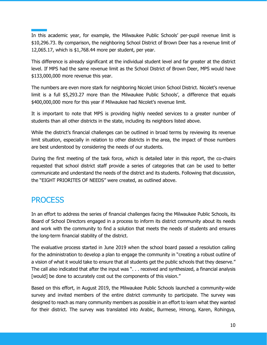In this academic year, for example, the Milwaukee Public Schools' per-pupil revenue limit is \$10,296.73. By comparison, the neighboring School District of Brown Deer has a revenue limit of 12,065.17, which is \$1,768.44 more per student, per year.

This difference is already significant at the individual student level and far greater at the district level. If MPS had the same revenue limit as the School District of Brown Deer, MPS would have \$133,000,000 more revenue this year.

The numbers are even more stark for neighboring Nicolet Union School District. Nicolet's revenue limit is a full \$5,293.27 more than the Milwaukee Public Schools', a difference that equals \$400,000,000 more for this year if Milwaukee had Nicolet's revenue limit.

It is important to note that MPS is providing highly needed services to a greater number of students than all other districts in the state, including its neighbors listed above.

While the district's financial challenges can be outlined in broad terms by reviewing its revenue limit situation, especially in relation to other districts in the area, the impact of those numbers are best understood by considering the needs of our students.

During the first meeting of the task force, which is detailed later in this report, the co-chairs requested that school district staff provide a series of categories that can be used to better communicate and understand the needs of the district and its students. Following that discussion, the "EIGHT PRIORITES OF NEEDS" were created, as outlined above.

### <span id="page-10-0"></span>**PROCESS**

In an effort to address the series of financial challenges facing the Milwaukee Public Schools, its Board of School Directors engaged in a process to inform its district community about its needs and work with the community to find a solution that meets the needs of students and ensures the long-term financial stability of the district.

The evaluative process started in June 2019 when the school board passed a resolution calling for the administration to develop a plan to engage the community in "creating a robust outline of a vision of what it would take to ensure that all students get the public schools that they deserve." The call also indicated that after the input was ". . . received and synthesized, a financial analysis [would] be done to accurately cost out the components of this vision."

Based on this effort, in August 2019, the Milwaukee Public Schools launched a community-wide survey and invited members of the entire district community to participate. The survey was designed to reach as many community members as possible in an effort to learn what they wanted for their district. The survey was translated into Arabic, Burmese, Hmong, Karen, Rohingya,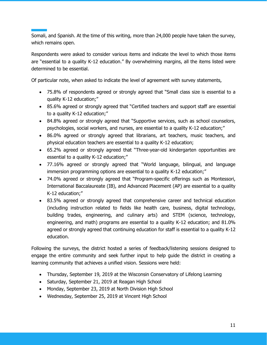Somali, and Spanish. At the time of this writing, more than 24,000 people have taken the survey, which remains open.

Respondents were asked to consider various items and indicate the level to which those items are "essential to a quality K-12 education." By overwhelming margins, all the items listed were determined to be essential.

Of particular note, when asked to indicate the level of agreement with survey statements,

- 75.8% of respondents agreed or strongly agreed that "Small class size is essential to a quality K-12 education;"
- 85.6% agreed or strongly agreed that "Certified teachers and support staff are essential to a quality K-12 education;"
- 84.8% agreed or strongly agreed that "Supportive services, such as school counselors, psychologies, social workers, and nurses, are essential to a quality K-12 education;"
- 86.0% agreed or strongly agreed that librarians, art teachers, music teachers, and physical education teachers are essential to a quality K-12 education;
- 65.2% agreed or strongly agreed that "Three-year-old kindergarten opportunities are essential to a quality K-12 education;"
- 77.16% agreed or strongly agreed that "World language, bilingual, and language immersion programming options are essential to a quality K-12 education;"
- 74.0% agreed or strongly agreed that "Program-specific offerings such as Montessori, International Baccalaureate (IB), and Advanced Placement (AP) are essential to a quality K-12 education;"
- 83.5% agreed or strongly agreed that comprehensive career and technical education (including instruction related to fields like health care, business, digital technology, building trades, engineering, and culinary arts) and STEM (science, technology, engineering, and math) programs are essential to a quality K-12 education; and 81.0% agreed or strongly agreed that continuing education for staff is essential to a quality K-12 education.

Following the surveys, the district hosted a series of feedback/listening sessions designed to engage the entire community and seek further input to help guide the district in creating a learning community that achieves a unified vision. Sessions were held:

- Thursday, September 19, 2019 at the Wisconsin Conservatory of Lifelong Learning
- Saturday, September 21, 2019 at Reagan High School
- Monday, September 23, 2019 at North Division High School
- Wednesday, September 25, 2019 at Vincent High School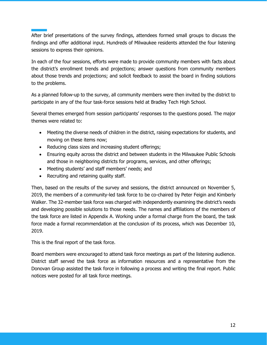After brief presentations of the survey findings, attendees formed small groups to discuss the findings and offer additional input. Hundreds of Milwaukee residents attended the four listening sessions to express their opinions.

In each of the four sessions, efforts were made to provide community members with facts about the district's enrollment trends and projections; answer questions from community members about those trends and projections; and solicit feedback to assist the board in finding solutions to the problems.

As a planned follow-up to the survey, all community members were then invited by the district to participate in any of the four task-force sessions held at Bradley Tech High School.

Several themes emerged from session participants' responses to the questions posed. The major themes were related to:

- Meeting the diverse needs of children in the district, raising expectations for students, and moving on these items now;
- Reducing class sizes and increasing student offerings;
- Ensuring equity across the district and between students in the Milwaukee Public Schools and those in neighboring districts for programs, services, and other offerings;
- Meeting students' and staff members' needs; and
- Recruiting and retaining quality staff.

Then, based on the results of the survey and sessions, the district announced on November 5, 2019, the members of a community-led task force to be co-chaired by Peter Feigin and Kimberly Walker. The 32-member task force was charged with independently examining the district's needs and developing possible solutions to those needs. The names and affiliations of the members of the task force are listed in Appendix A. Working under a formal charge from the board, the task force made a formal recommendation at the conclusion of its process, which was December 10, 2019.

This is the final report of the task force.

Board members were encouraged to attend task force meetings as part of the listening audience. District staff served the task force as information resources and a representative from the Donovan Group assisted the task force in following a process and writing the final report. Public notices were posted for all task force meetings.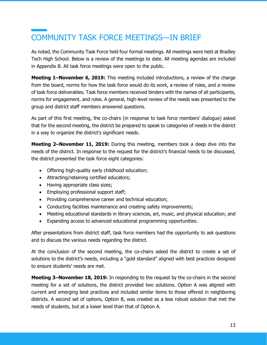# <span id="page-13-0"></span>COMMUNITY TASK FORCE MEETINGS—IN BRIEF

As noted, the Community Task Force held four formal meetings. All meetings were held at Bradley Tech High School. Below is a review of the meetings to date. All meeting agendas are included in Appendix B. All task force meetings were open to the public.

**Meeting 1–November 6, 2019:** This meeting included introductions, a review of the charge from the board, norms for how the task force would do its work, a review of roles, and a review of task force deliverables. Task force members received binders with the names of all participants, norms for engagement, and roles. A general, high-level review of the needs was presented to the group and district staff members answered questions.

As part of this first meeting, the co-chairs (in response to task force members' dialogue) asked that for the second meeting, the district be prepared to speak to categories of needs in the district in a way to organize the district's significant needs.

**Meeting 2–November 11, 2019:** During this meeting, members took a deep dive into the needs of the district. In response to the request for the district's financial needs to be discussed, the district presented the task force eight categories:

- Offering high-quality early childhood education;
- Attracting/retaining certified educators;
- Having appropriate class sizes;
- Employing professional support staff;
- Providing comprehensive career and technical education;
- Conducting facilities maintenance and creating safety improvements;
- Meeting educational standards in library sciences, art, music, and physical education; and
- Expanding access to advanced educational programming opportunities.

After presentations from district staff, task force members had the opportunity to ask questions and to discuss the various needs regarding the district.

At the conclusion of the second meeting, the co-chairs asked the district to create a set of solutions to the district's needs, including a "gold standard" aligned with best practices designed to ensure students' needs are met.

**Meeting 3–November 18, 2019:** In responding to the request by the co-chairs in the second meeting for a set of solutions, the district provided two solutions. Option A was aligned with current and emerging best practices and included similar items to those offered in neighboring districts. A second set of options, Option B, was created as a less robust solution that met the needs of students, but at a lower level than that of Option A.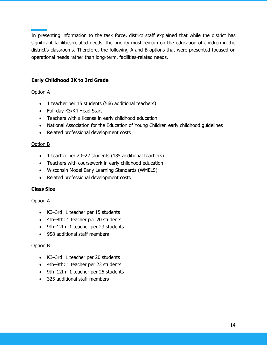In presenting information to the task force, district staff explained that while the district has significant facilities-related needs, the priority must remain on the education of children in the district's classrooms. Therefore, the following A and B options that were presented focused on operational needs rather than long-term, facilities-related needs.

#### **Early Childhood 3K to 3rd Grade**

#### Option A

- 1 teacher per 15 students (566 additional teachers)
- Full-day K3/K4 Head Start
- Teachers with a license in early childhood education
- National Association for the Education of Young Children early childhood guidelines
- Related professional development costs

#### Option B

- 1 teacher per 20–22 students (185 additional teachers)
- Teachers with coursework in early childhood education
- Wisconsin Model Early Learning Standards (WMELS)
- Related professional development costs

#### **Class Size**

#### Option A

- K3–3rd: 1 teacher per 15 students
- 4th–8th: 1 teacher per 20 students
- 9th–12th: 1 teacher per 23 students
- 958 additional staff members

#### Option B

- K3–3rd: 1 teacher per 20 students
- 4th–8th: 1 teacher per 23 students
- 9th–12th: 1 teacher per 25 students
- 325 additional staff members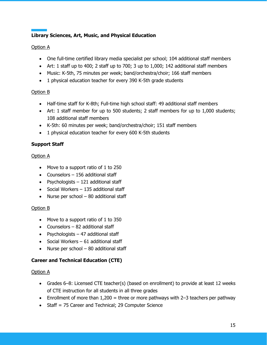#### **Library Sciences, Art, Music, and Physical Education**

#### Option A

- One full-time certified library media specialist per school; 104 additional staff members
- Art: 1 staff up to 400; 2 staff up to 700; 3 up to 1,000; 142 additional staff members
- Music: K-5th, 75 minutes per week; band/orchestra/choir; 166 staff members
- 1 physical education teacher for every 390 K-5th grade students

#### Option B

- Half-time staff for K-8th; Full-time high school staff: 49 additional staff members
- Art: 1 staff member for up to 500 students; 2 staff members for up to 1,000 students; 108 additional staff members
- K-5th: 60 minutes per week; band/orchestra/choir; 151 staff members
- 1 physical education teacher for every 600 K-5th students

#### **Support Staff**

#### Option A

- Move to a support ratio of 1 to 250
- Counselors 156 additional staff
- Psychologists 121 additional staff
- Social Workers 135 additional staff
- Nurse per school 80 additional staff

#### Option B

- Move to a support ratio of 1 to 350
- Counselors 82 additional staff
- Psychologists 47 additional staff
- Social Workers 61 additional staff
- Nurse per school 80 additional staff

#### **Career and Technical Education (CTE)**

#### Option A

- Grades 6–8: Licensed CTE teacher(s) (based on enrollment) to provide at least 12 weeks of CTE instruction for all students in all three grades
- Enrollment of more than  $1,200 =$  three or more pathways with 2-3 teachers per pathway
- Staff = 75 Career and Technical; 29 Computer Science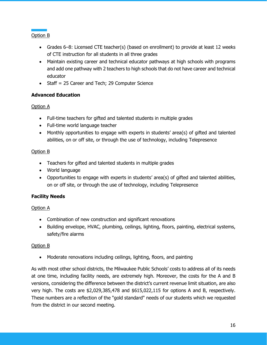Option B

- Grades 6–8: Licensed CTE teacher(s) (based on enrollment) to provide at least 12 weeks of CTE instruction for all students in all three grades
- Maintain existing career and technical educator pathways at high schools with programs and add one pathway with 2 teachers to high schools that do not have career and technical educator
- Staff = 25 Career and Tech; 29 Computer Science

#### **Advanced Education**

Option A

- Full-time teachers for gifted and talented students in multiple grades
- Full-time world language teacher
- Monthly opportunities to engage with experts in students' area(s) of gifted and talented abilities, on or off site, or through the use of technology, including Telepresence

#### Option B

- Teachers for gifted and talented students in multiple grades
- World language
- Opportunities to engage with experts in students' area(s) of gifted and talented abilities, on or off site, or through the use of technology, including Telepresence

#### **Facility Needs**

#### Option A

- Combination of new construction and significant renovations
- Building envelope, HVAC, plumbing, ceilings, lighting, floors, painting, electrical systems, safety/fire alarms

#### Option B

• Moderate renovations including ceilings, lighting, floors, and painting

As with most other school districts, the Milwaukee Public Schools' costs to address all of its needs at one time, including facility needs, are extremely high. Moreover, the costs for the A and B versions, considering the difference between the district's current revenue limit situation, are also very high. The costs are \$2,029,385,478 and \$615,022,115 for options A and B, respectively. These numbers are a reflection of the "gold standard" needs of our students which we requested from the district in our second meeting.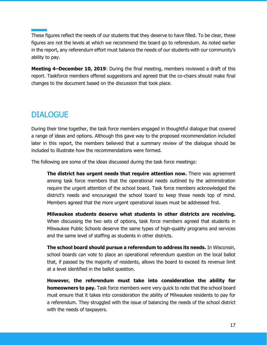These figures reflect the needs of our students that they deserve to have filled. To be clear, these figures are not the levels at which we recommend the board go to referendum. As noted earlier in the report, any referendum effort must balance the needs of our students with our community's ability to pay.

**Meeting 4–December 10, 2019**: During the final meeting, members reviewed a draft of this report. Taskforce members offered suggestions and agreed that the co-chairs should make final changes to the document based on the discussion that took place.

### <span id="page-17-0"></span>DIALOGUE

During their time together, the task force members engaged in thoughtful dialogue that covered a range of ideas and options. Although this gave way to the proposed recommendation included later in this report, the members believed that a summary review of the dialogue should be included to illustrate how the recommendations were formed.

The following are some of the ideas discussed during the task force meetings:

**The district has urgent needs that require attention now.** There was agreement among task force members that the operational needs outlined by the administration require the urgent attention of the school board. Task force members acknowledged the district's needs and encouraged the school board to keep those needs top of mind. Members agreed that the more urgent operational issues must be addressed first.

**Milwaukee students deserve what students in other districts are receiving.** When discussing the two sets of options, task force members agreed that students in Milwaukee Public Schools deserve the same types of high-quality programs and services and the same level of staffing as students in other districts.

**The school board should pursue a referendum to address its needs.** In Wisconsin, school boards can vote to place an operational referendum question on the local ballot that, if passed by the majority of residents, allows the board to exceed its revenue limit at a level identified in the ballot question.

**However, the referendum must take into consideration the ability for homeowners to pay.** Task force members were very quick to note that the school board must ensure that it takes into consideration the ability of Milwaukee residents to pay for a referendum. They struggled with the issue of balancing the needs of the school district with the needs of taxpayers.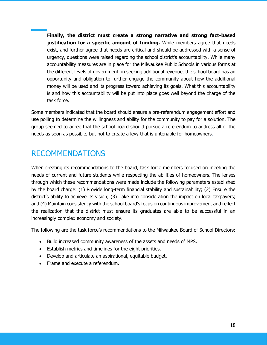**Finally, the district must create a strong narrative and strong fact-based justification for a specific amount of funding.** While members agree that needs exist, and further agree that needs are critical and should be addressed with a sense of urgency, questions were raised regarding the school district's accountability. While many accountability measures are in place for the Milwaukee Public Schools in various forms at the different levels of government, in seeking additional revenue, the school board has an opportunity and obligation to further engage the community about how the additional money will be used and its progress toward achieving its goals. What this accountability is and how this accountability will be put into place goes well beyond the charge of the task force.

Some members indicated that the board should ensure a pre-referendum engagement effort and use polling to determine the willingness and ability for the community to pay for a solution. The group seemed to agree that the school board should pursue a referendum to address all of the needs as soon as possible, but not to create a levy that is untenable for homeowners.

### <span id="page-18-0"></span>RECOMMENDATIONS

When creating its recommendations to the board, task force members focused on meeting the needs of current and future students while respecting the abilities of homeowners. The lenses through which these recommendations were made include the following parameters established by the board charge: (1) Provide long-term financial stability and sustainability; (2) Ensure the district's ability to achieve its vision; (3) Take into consideration the impact on local taxpayers; and (4) Maintain consistency with the school board's focus on continuous improvement and reflect the realization that the district must ensure its graduates are able to be successful in an increasingly complex economy and society.

The following are the task force's recommendations to the Milwaukee Board of School Directors:

- Build increased community awareness of the assets and needs of MPS.
- Establish metrics and timelines for the eight priorities.
- Develop and articulate an aspirational, equitable budget.
- Frame and execute a referendum.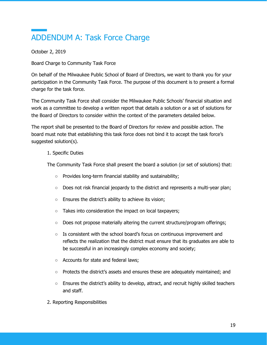# <span id="page-19-0"></span>ADDENDUM A: Task Force Charge

October 2, 2019

Board Charge to Community Task Force

On behalf of the Milwaukee Public School of Board of Directors, we want to thank you for your participation in the Community Task Force. The purpose of this document is to present a formal charge for the task force.

The Community Task Force shall consider the Milwaukee Public Schools' financial situation and work as a committee to develop a written report that details a solution or a set of solutions for the Board of Directors to consider within the context of the parameters detailed below.

The report shall be presented to the Board of Directors for review and possible action. The board must note that establishing this task force does not bind it to accept the task force's suggested solution(s).

#### 1. Specific Duties

The Community Task Force shall present the board a solution (or set of solutions) that:

- Provides long-term financial stability and sustainability;
- Does not risk financial jeopardy to the district and represents a multi-year plan;
- Ensures the district's ability to achieve its vision;
- Takes into consideration the impact on local taxpayers;
- Does not propose materially altering the current structure/program offerings;
- $\circ$  Is consistent with the school board's focus on continuous improvement and reflects the realization that the district must ensure that its graduates are able to be successful in an increasingly complex economy and society;
- Accounts for state and federal laws;
- Protects the district's assets and ensures these are adequately maintained; and
- $\circ$  Ensures the district's ability to develop, attract, and recruit highly skilled teachers and staff.
- 2. Reporting Responsibilities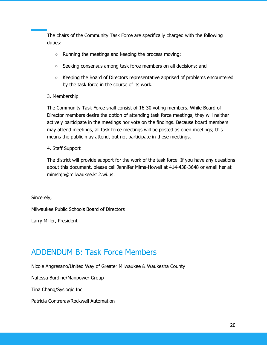The chairs of the Community Task Force are specifically charged with the following duties:

- Running the meetings and keeping the process moving;
- Seeking consensus among task force members on all decisions; and
- Keeping the Board of Directors representative apprised of problems encountered by the task force in the course of its work.

#### 3. Membership

The Community Task Force shall consist of 16-30 voting members. While Board of Director members desire the option of attending task force meetings, they will neither actively participate in the meetings nor vote on the findings. Because board members may attend meetings, all task force meetings will be posted as open meetings; this means the public may attend, but not participate in these meetings.

#### 4. Staff Support

The district will provide support for the work of the task force. If you have any questions about this document, please call Jennifer Mims-Howell at 414-438-3648 or email her at mimshjn@milwaukee.k12.wi.us.

Sincerely,

Milwaukee Public Schools Board of Directors

Larry Miller, President

### <span id="page-20-0"></span>ADDENDUM B: Task Force Members

Nicole Angresano/United Way of Greater Milwaukee & Waukesha County

Nafessa Burdine/Manpower Group

Tina Chang/Syslogic Inc.

Patricia Contreras/Rockwell Automation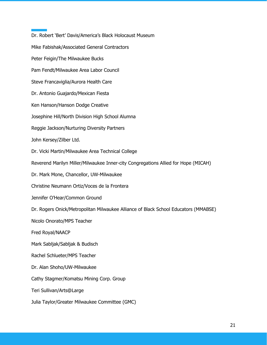Dr. Robert 'Bert' Davis/America's Black Holocaust Museum Mike Fabishak/Associated General Contractors Peter Feigin/The Milwaukee Bucks Pam Fendt/Milwaukee Area Labor Council Steve Francaviglia/Aurora Health Care Dr. Antonio Guajardo/Mexican Fiesta Ken Hanson/Hanson Dodge Creative Josephine Hill/North Division High School Alumna Reggie Jackson/Nurturing Diversity Partners John Kersey/Zilber Ltd. Dr. Vicki Martin/Milwaukee Area Technical College Reverend Marilyn Miller/Milwaukee Inner-city Congregations Allied for Hope (MICAH) Dr. Mark Mone, Chancellor, UW-Milwaukee Christine Neumann Ortiz/Voces de la Frontera Jennifer O'Hear/Common Ground Dr. Rogers Onick/Metropolitan Milwaukee Alliance of Black School Educators (MMABSE) Nicolo Onorato/MPS Teacher Fred Royal/NAACP Mark Sabljak/Sabljak & Budisch Rachel Schlueter/MPS Teacher Dr. Alan Shoho/UW-Milwaukee Cathy Stagmer/Komatsu Mining Corp. Group Teri Sullivan/Arts@Large Julia Taylor/Greater Milwaukee Committee (GMC)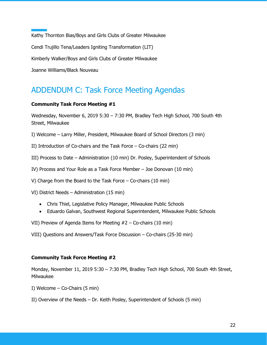Kathy Thornton Bias/Boys and Girls Clubs of Greater Milwaukee Cendi Trujillo Tena/Leaders Igniting Transformation (LIT) Kimberly Walker/Boys and Girls Clubs of Greater Milwaukee Joanne Williams/Black Nouveau

### <span id="page-22-0"></span>ADDENDUM C: Task Force Meeting Agendas

#### **Community Task Force Meeting #1**

Wednesday, November 6, 2019 5:30 – 7:30 PM, Bradley Tech High School, 700 South 4th Street, Milwaukee

I) Welcome – Larry Miller, President, Milwaukee Board of School Directors (3 min)

II) Introduction of Co-chairs and the Task Force – Co-chairs (22 min)

III) Process to Date – Administration (10 min) Dr. Posley, Superintendent of Schools

IV) Process and Your Role as a Task Force Member – Joe Donovan (10 min)

V) Charge from the Board to the Task Force – Co-chairs (10 min)

VI) District Needs – Administration (15 min)

- Chris Thiel, Legislative Policy Manager, Milwaukee Public Schools
- Eduardo Galvan, Southwest Regional Superintendent, Milwaukee Public Schools

VII) Preview of Agenda Items for Meeting #2 – Co-chairs (10 min)

VIII) Questions and Answers/Task Force Discussion – Co-chairs (25-30 min)

#### **Community Task Force Meeting #2**

Monday, November 11, 2019 5:30 – 7:30 PM, Bradley Tech High School, 700 South 4th Street, Milwaukee

- I) Welcome Co-Chairs (5 min)
- II) Overview of the Needs Dr. Keith Posley, Superintendent of Schools (5 min)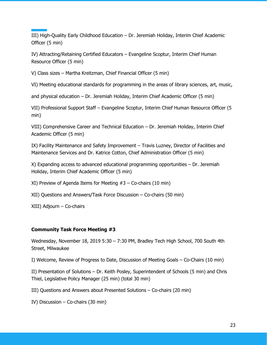III) High-Quality Early Childhood Education – Dr. Jeremiah Holiday, Interim Chief Academic Officer (5 min)

IV) Attracting/Retaining Certified Educators – Evangeline Scoptur, Interim Chief Human Resource Officer (5 min)

V) Class sizes – Martha Kreitzman, Chief Financial Officer (5 min)

VI) Meeting educational standards for programming in the areas of library sciences, art, music,

and physical education – Dr. Jeremiah Holiday, Interim Chief Academic Officer (5 min)

VII) Professional Support Staff – Evangeline Scoptur, Interim Chief Human Resource Officer (5 min)

VIII) Comprehensive Career and Technical Education – Dr. Jeremiah Holiday, Interim Chief Academic Officer (5 min)

IX) Facility Maintenance and Safety Improvement – Travis Luzney, Director of Facilities and Maintenance Services and Dr. Katrice Cotton, Chief Administration Officer (5 min)

X) Expanding access to advanced educational programming opportunities – Dr. Jeremiah Holiday, Interim Chief Academic Officer (5 min)

XI) Preview of Agenda Items for Meeting #3 – Co-chairs (10 min)

XII) Questions and Answers/Task Force Discussion – Co-chairs (50 min)

XIII) Adjourn – Co-chairs

#### **Community Task Force Meeting #3**

Wednesday, November 18, 2019 5:30 – 7:30 PM, Bradley Tech High School, 700 South 4th Street, Milwaukee

I) Welcome, Review of Progress to Date, Discussion of Meeting Goals – Co-Chairs (10 min)

II) Presentation of Solutions – Dr. Keith Posley, Superintendent of Schools (5 min) and Chris Thiel, Legislative Policy Manager (25 min) (total 30 min)

III) Questions and Answers about Presented Solutions – Co-chairs (20 min)

IV) Discussion – Co-chairs (30 min)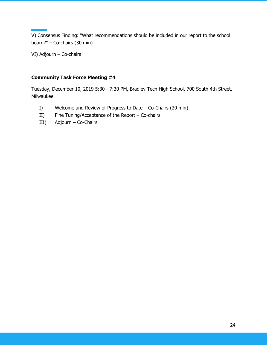V) Consensus Finding: "What recommendations should be included in our report to the school board?" – Co-chairs (30 min)

VI) Adjourn – Co-chairs

#### **Community Task Force Meeting #4**

Tuesday, December 10, 2019 5:30 - 7:30 PM, Bradley Tech High School, 700 South 4th Street, Milwaukee

- I) Welcome and Review of Progress to Date Co-Chairs (20 min)
- II) Fine Tuning/Acceptance of the Report Co-chairs
- III) Adjourn Co-Chairs